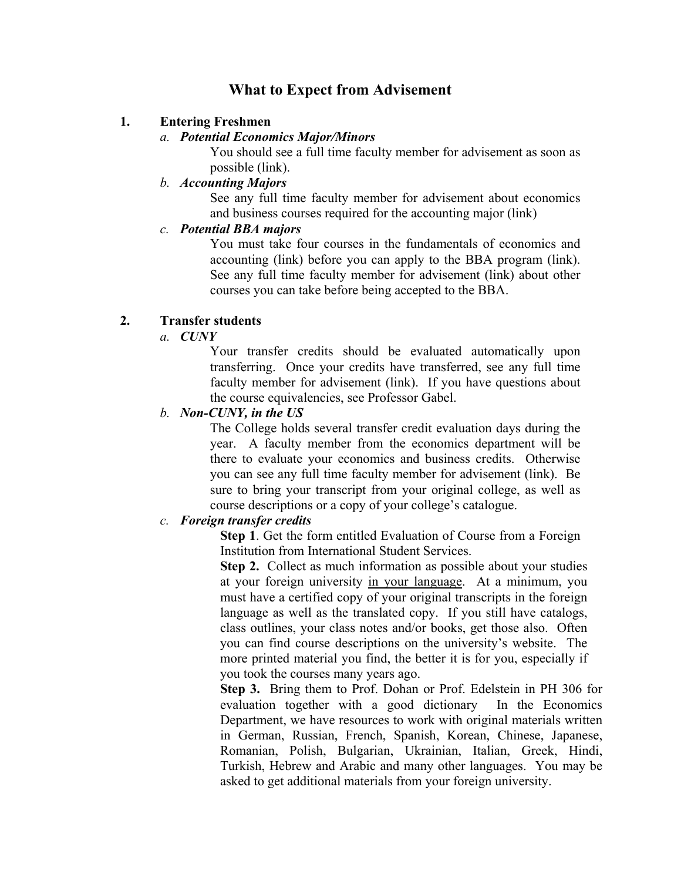# **What to Expect from Advisement**

### **1. Entering Freshmen**

#### *a. Potential Economics Major/Minors*

You should see a full time faculty member for advisement as soon as possible (link).

## *b. Accounting Majors*

See any full time faculty member for advisement about economics and business courses required for the accounting major (link)

### *c. Potential BBA majors*

You must take four courses in the fundamentals of economics and accounting (link) before you can apply to the BBA program (link). See any full time faculty member for advisement (link) about other courses you can take before being accepted to the BBA.

### **2. Transfer students**

## *a. CUNY*

Your transfer credits should be evaluated automatically upon transferring. Once your credits have transferred, see any full time faculty member for advisement (link). If you have questions about the course equivalencies, see Professor Gabel.

### *b. Non-CUNY, in the US*

The College holds several transfer credit evaluation days during the year. A faculty member from the economics department will be there to evaluate your economics and business credits. Otherwise you can see any full time faculty member for advisement (link). Be sure to bring your transcript from your original college, as well as course descriptions or a copy of your college's catalogue.

## *c. Foreign transfer credits*

**Step 1**. Get the form entitled Evaluation of Course from a Foreign Institution from International Student Services.

**Step 2.** Collect as much information as possible about your studies at your foreign university in your language. At a minimum, you must have a certified copy of your original transcripts in the foreign language as well as the translated copy. If you still have catalogs, class outlines, your class notes and/or books, get those also. Often you can find course descriptions on the university's website. The more printed material you find, the better it is for you, especially if you took the courses many years ago.

**Step 3.** Bring them to Prof. Dohan or Prof. Edelstein in PH 306 for evaluation together with a good dictionary In the Economics Department, we have resources to work with original materials written in German, Russian, French, Spanish, Korean, Chinese, Japanese, Romanian, Polish, Bulgarian, Ukrainian, Italian, Greek, Hindi, Turkish, Hebrew and Arabic and many other languages. You may be asked to get additional materials from your foreign university.